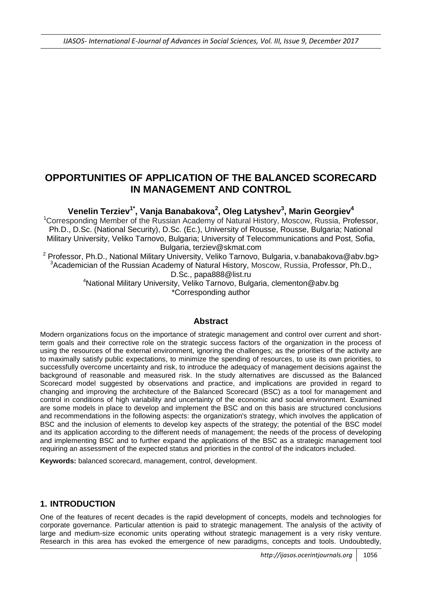# **OPPORTUNITIES OF APPLICATION OF THE BALANCED SCORECARD IN MANAGEMENT AND CONTROL**

## **Venelin Terziev1\* , Vanja Banabakova<sup>2</sup> , Oleg Latyshev<sup>3</sup> , Marin Georgiev<sup>4</sup>**

<sup>1</sup>Corresponding Member of the Russian Academy of Natural History, Moscow, Russia, Professor, Ph.D., D.Sc. (National Security), D.Sc. (Ec.), University of Rousse, Rousse, Bulgaria; National Military University, Veliko Tarnovo, Bulgaria; University of Telecommunications and Post, Sofia, Bulgaria, [terziev@skmat.com](mailto:terziev@skmat.com)

<sup>2</sup> Professor, Ph.D., National Military University, Veliko Tarnovo, Bulgaria, v.banabakova@abv.bg> <sup>3</sup> Academician of the Russian Academy of Natural History, Moscow, Russia, Professor, Ph.D., D.Sc., papa888@list.ru

> <sup>4</sup>National Military University, Veliko Tarnovo, Bulgaria, clementon@abv.bg \*Corresponding author

#### **Abstract**

Modern organizations focus on the importance of strategic management and control over current and shortterm goals and their corrective role on the strategic success factors of the organization in the process of using the resources of the external environment, ignoring the challenges; as the priorities of the activity are to maximally satisfy public expectations, to minimize the spending of resources, to use its own priorities, to successfully overcome uncertainty and risk, to introduce the adequacy of management decisions against the background of reasonable and measured risk. In the study alternatives are discussed as the Balanced Scorecard model suggested by observations and practice, and implications are provided in regard to changing and improving the architecture of the Balanced Scorecard (BSC) as a tool for management and control in conditions of high variability and uncertainty of the economic and social environment. Examined are some models in place to develop and implement the BSC and on this basis are structured conclusions and recommendations in the following aspects: the organization's strategy, which involves the application of BSC and the inclusion of elements to develop key aspects of the strategy; the potential of the BSC model and its application according to the different needs of management; the needs of the process of developing and implementing BSC and to further expand the applications of the BSC as a strategic management tool requiring an assessment of the expected status and priorities in the control of the indicators included.

**Keywords:** balanced scorecard, management, control, development.

#### **1. INTRODUCTION**

One of the features of recent decades is the rapid development of concepts, models and technologies for corporate governance. Particular attention is paid to strategic management. The analysis of the activity of large and medium-size economic units operating without strategic management is a very risky venture. Research in this area has evoked the emergence of new paradigms, concepts and tools. Undoubtedly,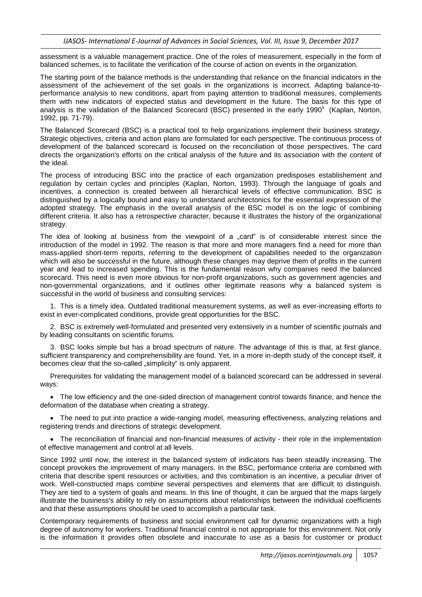assessment is a valuable management practice. One of the roles of measurement, especially in the form of balanced schemes, is to facilitate the verification of the course of action on events in the organization.

The starting point of the balance methods is the understanding that reliance on the financial indicators in the assessment of the achievement of the set goals in the organizations is incorrect. Adapting balance-toperformance analysis to new conditions, apart from paying attention to traditional measures, complements them with new indicators of expected status and development in the future. The basis for this type of analysis is the validation of the Balanced Scorecard (BSC) presented in the early 1990<sup>s</sup> (Kaplan, Norton, 1992, pp. 71-79).

The Balanced Scorecard (BSC) is a practical tool to help organizations implement their business strategy. Strategic objectives, criteria and action plans are formulated for each perspective. The continuous process of development of the balanced scorecard is focused on the reconciliation of those perspectives. The card directs the organization's efforts on the critical analysis of the future and its association with the content of the ideal.

The process of introducing BSC into the practice of each organization predisposes establishement and regulation by certain cycles and principles (Kaplan, Norton, 1993). Through the language of goals and incentives, a connection is created between all hierarchical levels of effective communication. BSC is distinguished by a logically bound and easy to understand architectonics for the essential expression of the adopted strategy. The emphasis in the overall analysis of the BSC model is on the logic of combining different criteria. It also has a retrospective character, because it illustrates the history of the organizational strategy.

The idea of looking at business from the viewpoint of a "card" is of considerable interest since the introduction of the model in 1992. The reason is that more and more managers find a need for more than mass-applied short-term reports, referring to the development of capabilities needed to the organization which will also be successful in the future, although these changes may deprive them of profits in the current year and lead to increased spending. This is the fundamental reason why companies need the balanced scorecard. This need is even more obvious for non-profit organizations, such as government agencies and non-governmental organizations, and it outlines other legitimate reasons why a balanced system is successful in the world of business and consulting services:

1. This is a timely idea. Outdated traditional measurement systems, as well as ever-increasing efforts to exist in ever-complicated conditions, provide great opportunities for the BSC.

2. BSC is extremely well-formulated and presented very extensively in a number of scientific journals and by leading consultants on scientific forums.

3. BSC looks simple but has a broad spectrum of nature. The advantage of this is that, at first glance, sufficient transparency and comprehensibility are found. Yet, in a more in-depth study of the concept itself, it becomes clear that the so-called "simplicity" is only apparent.

Prerequisites for validating the management model of a balanced scorecard can be addressed in several ways:

 The low efficiency and the one-sided direction of management control towards finance, and hence the deformation of the database when creating a strategy.

• The need to put into practice a wide-ranging model, measuring effectiveness, analyzing relations and registering trends and directions of strategic development.

 The reconciliation of financial and non-financial measures of activity - their role in the implementation of effective management and control at all levels.

Since 1992 until now, the interest in the balanced system of indicators has been steadily increasing. The concept provokes the improvement of many managers. In the BSC, performance criteria are combined with criteria that describe spent resources or activities, and this combination is an incentive, a peculiar driver of work. Well-constructed maps combine several perspectives and elements that are difficult to distinguish. They are tied to a system of goals and means. In this line of thought, it can be argued that the maps largely illustrate the business's ability to rely on assumptions about relationships between the individual coefficients and that these assumptions should be used to accomplish a particular task.

Contemporary requirements of business and social environment call for dynamic organizations with a high degree of autonomy for workers. Traditional financial control is not appropriate for this environment. Not only is the information it provides often obsolete and inaccurate to use as a basis for customer or product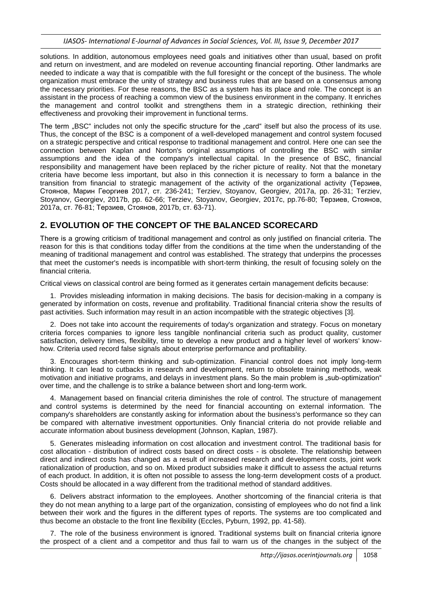solutions. In addition, autonomous employees need goals and initiatives other than usual, based on profit and return on investment, and are modeled on revenue accounting financial reporting. Other landmarks are needed to indicate a way that is compatible with the full foresight or the concept of the business. The whole organization must embrace the unity of strategy and business rules that are based on a consensus among the necessary priorities. For these reasons, the BSC as a system has its place and role. The concept is an assistant in the process of reaching a common view of the business environment in the company. It enriches the management and control toolkit and strengthens them in a strategic direction, rethinking their effectiveness and provoking their improvement in functional terms.

The term "BSC" includes not only the specific structure for the "card" itself but also the process of its use. Thus, the concept of the BSC is a component of a well-developed management and control system focused on a strategic perspective and critical response to traditional management and control. Here one can see the connection between Kaplan and Norton's original assumptions of controlling the BSC with similar assumptions and the idea of the company's intellectual capital. In the presence of BSC, financial responsibility and management have been replaced by the richer picture of reality. Not that the monetary criteria have become less important, but also in this connection it is necessary to form a balance in the transition from financial to strategic management of the activity of the organizational activity (Терзиев, Стоянов, Марин Георгиев 2017, ст. 236-241; Terziev, Stoyanov, Georgiev, 2017a, pp. 26-31; Terziev, Stoyanov, Georgiev, 2017b, pp. 62-66; Terziev, Stoyanov, Georgiev, 2017c, pp.76-80; Терзиев, Стоянов, 2017a, ст. 76-81; Терзиев, Стоянов, 2017b, ст. 63-71).

# **2. EVOLUTION OF THE CONCEPT OF THE BALANCED SCORECARD**

There is а growing criticism of traditional management and control as only justified on financial criteria. The reason for this is that conditions today differ from the conditions at the time when the understanding of the meaning of traditional management and control was established. The strategy that underpins the processes that meet the customer's needs is incompatible with short-term thinking, the result of focusing solely on the financial criteria.

Critical views on classical control are being formed as it generates certain management deficits because:

1. Provides misleading information in making decisions. The basis for decision-making in a company is generated by information on costs, revenue and profitability. Traditional financial criteria show the results of past activities. Such information may result in an action incompatible with the strategic objectives [3].

2. Does not take into account the requirements of today's organization and strategy. Focus on monetary criteria forces companies to ignore less tangible nonfinancial criteria such as product quality, customer satisfaction, delivery times, flexibility, time to develop a new product and a higher level of workers' knowhow. Criteria used record false signals about enterprise performance and profitability.

3. Encourages short-term thinking and sub-optimization. Financial control does not imply long-term thinking. It can lead to cutbacks in research and development, return to obsolete training methods, weak motivation and initiative programs, and delays in investment plans. So the main problem is "sub-optimization" over time, and the challenge is to strike a balance between short and long-term work.

4. Management based on financial criteria diminishes the role of control. The structure of management and control systems is determined by the need for financial accounting on external information. The company's shareholders are constantly asking for information about the business's performance so they can be compared with alternative investment opportunities. Only financial criteria do not provide reliable and accurate information about business development (Johnson, Kaplan, 1987).

5. Generates misleading information on cost allocation and investment control. The traditional basis for cost allocation - distribution of indirect costs based on direct costs - is obsolete. The relationship between direct and indirect costs has changed as a result of increased research and development costs, joint work rationalization of production, and so on. Mixed product subsidies make it difficult to assess the actual returns of each product. In addition, it is often not possible to assess the long-term development costs of a product. Costs should be allocated in a way different from the traditional method of standard additives.

6. Delivers abstract information to the employees. Another shortcoming of the financial criteria is that they do not mean anything to a large part of the organization, consisting of employees who do not find a link between their work and the figures in the different types of reports. The systems are too complicated and thus become an obstacle to the front line flexibility (Eccles, Pyburn, 1992, pp. 41-58).

7. The role of the business environment is ignored. Traditional systems built on financial criteria ignore the prospect of a client and a competitor and thus fail to warn us of the changes in the subject of the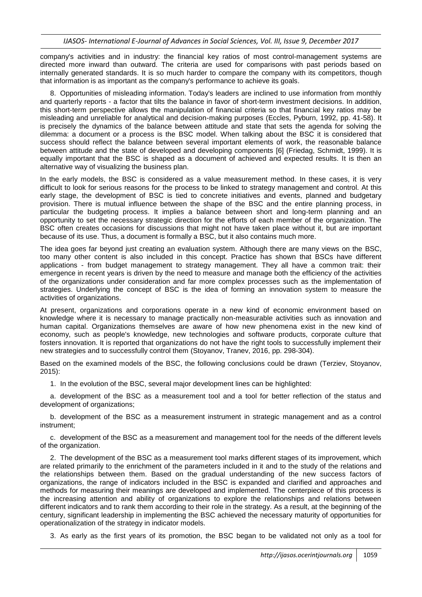company's activities and in industry: the financial key ratios of most control-management systems are directed more inward than outward. The criteria are used for comparisons with past periods based on internally generated standards. It is so much harder to compare the company with its competitors, though that information is as important as the company's performance to achieve its goals.

8. Opportunities of misleading information. Today's leaders are inclined to use information from monthly and quarterly reports - a factor that tilts the balance in favor of short-term investment decisions. In addition, this short-term perspective allows the manipulation of financial criteria so that financial key ratios may be misleading and unreliable for analytical and decision-making purposes (Eccles, Pyburn, 1992, pp. 41-58). It is precisely the dynamics of the balance between attitude and state that sets the agenda for solving the dilemma: a document or a process is the BSC model. When talking about the BSC it is considered that success should reflect the balance between several important elements of work, the reasonable balance between attitude and the state of developed and developing components [6] (Friedag, Schmidt, 1999). It is equally important that the BSC is shaped as a document of achieved and expected results. It is then an alternative way of visualizing the business plan.

In the early models, the BSC is considered as a value measurement method. In these cases, it is very difficult to look for serious reasons for the process to be linked to strategy management and control. At this early stage, the development of BSC is tied to concrete initiatives and events, planned and budgetary provision. There is mutual influence between the shape of the BSC and the entire planning process, in particular the budgeting process. It implies a balance between short and long-term planning and an opportunity to set the necessary strategic direction for the efforts of each member of the organization. The BSC often creates occasions for discussions that might not have taken place without it, but are important because of its use. Thus, a document is formally a BSC, but it also contains much more.

The idea goes far beyond just creating an evaluation system. Although there are many views on the BSC, too many other content is also included in this concept. Practice has shown that BSCs have different applications - from budget management to strategy management. They all have a common trait: their emergence in recent years is driven by the need to measure and manage both the efficiency of the activities of the organizations under consideration and far more complex processes such as the implementation of strategies. Underlying the concept of BSC is the idea of forming an innovation system to measure the activities of organizations.

At present, organizations and corporations operate in a new kind of economic environment based on knowledge where it is necessary to manage practically non-measurable activities such as innovation and human capital. Organizations themselves are aware of how new phenomena exist in the new kind of economy, such as people's knowledge, new technologies and software products, corporate culture that fosters innovation. It is reported that organizations do not have the right tools to successfully implement their new strategies and to successfully control them (Stoyanov, Tranev, 2016, pp. 298-304).

Based on the examined models of the BSC, the following conclusions could be drawn (Terziev, Stoyanov, 2015):

1. In the evolution of the BSC, several major development lines can be highlighted:

a. development of the BSC as a measurement tool and a tool for better reflection of the status and development of organizations:

b. development of the BSC as a measurement instrument in strategic management and as a control instrument;

c. development of the BSC as a measurement and management tool for the needs of the different levels of the organization.

2. The development of the BSC as a measurement tool marks different stages of its improvement, which are related primarily to the enrichment of the parameters included in it and to the study of the relations and the relationships between them. Based on the gradual understanding of the new success factors of organizations, the range of indicators included in the BSC is expanded and clarified and approaches and methods for measuring their meanings are developed and implemented. The centerpiece of this process is the increasing attention and ability of organizations to explore the relationships and relations between different indicators and to rank them according to their role in the strategy. As a result, at the beginning of the century, significant leadership in implementing the BSC achieved the necessary maturity of opportunities for operationalization of the strategy in indicator models.

3. As early as the first years of its promotion, the BSC began to be validated not only as a tool for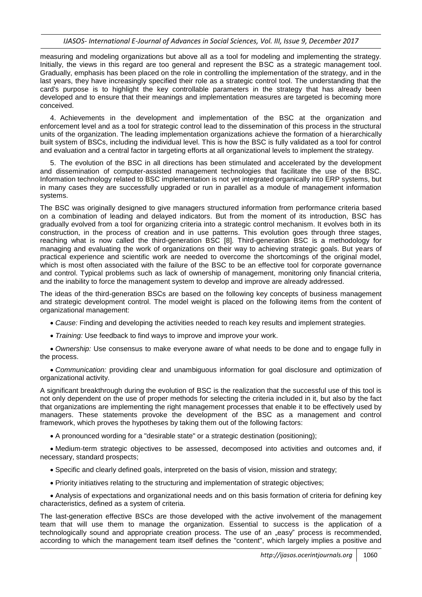measuring and modeling organizations but above all as a tool for modeling and implementing the strategy. Initially, the views in this regard are too general and represent the BSC as a strategic management tool. Gradually, emphasis has been placed on the role in controlling the implementation of the strategy, and in the last years, they have increasingly specified their role as a strategic control tool. The understanding that the card's purpose is to highlight the key controllable parameters in the strategy that has already been developed and to ensure that their meanings and implementation measures are targeted is becoming more conceived.

4. Achievements in the development and implementation of the BSC at the organization and enforcement level and as a tool for strategic control lead to the dissemination of this process in the structural units of the organization. The leading implementation organizations achieve the formation of a hierarchically built system of BSCs, including the individual level. This is how the BSC is fully validated as a tool for control and evaluation and a central factor in targeting efforts at all organizational levels to implement the strategy.

5. The evolution of the BSC in all directions has been stimulated and accelerated by the development and dissemination of computer-assisted management technologies that facilitate the use of the BSC. Information technology related to BSC implementation is not yet integrated organically into ERP systems, but in many cases they are successfully upgraded or run in parallel as a module of management information systems.

The BSC was originally designed to give managers structured information from performance criteria based on a combination of leading and delayed indicators. But from the moment of its introduction, BSC has gradually evolved from a tool for organizing criteria into a strategic control mechanism. It evolves both in its construction, in the process of creation and in use patterns. This evolution goes through three stages, reaching what is now called the third-generation BSC [8]. Third-generation BSC is a methodology for managing and evaluating the work of organizations on their way to achieving strategic goals. But years of practical experience and scientific work are needed to overcome the shortcomings of the original model, which is most often associated with the failure of the BSC to be an effective tool for corporate governance and control. Typical problems such as lack of ownership of management, monitoring only financial criteria, and the inability to force the management system to develop and improve are already addressed.

The ideas of the third-generation BSCs are based on the following key concepts of business management and strategic development control. The model weight is placed on the following items from the content of organizational management:

- *Cause:* Finding and developing the activities needed to reach key results and implement strategies.
- *Training:* Use feedback to find ways to improve and improve your work.

 *Ownership:* Use consensus to make everyone aware of what needs to be done and to engage fully in the process.

 *Communication:* providing clear and unambiguous information for goal disclosure and optimization of organizational activity.

A significant breakthrough during the evolution of BSC is the realization that the successful use of this tool is not only dependent on the use of proper methods for selecting the criteria included in it, but also by the fact that organizations are implementing the right management processes that enable it to be effectively used by managers. These statements provoke the development of the BSC as a management and control framework, which proves the hypotheses by taking them out of the following factors:

A pronounced wording for a "desirable state" or a strategic destination (positioning);

 Medium-term strategic objectives to be assessed, decomposed into activities and outcomes and, if necessary, standard prospects;

- Specific and clearly defined goals, interpreted on the basis of vision, mission and strategy;
- Priority initiatives relating to the structuring and implementation of strategic objectives;

 Analysis of expectations and organizational needs and on this basis formation of criteria for defining key characteristics, defined as a system of criteria.

The last-generation effective BSCs are those developed with the active involvement of the management team that will use them to manage the organization. Essential to success is the application of a technologically sound and appropriate creation process. The use of an "easy" process is recommended, according to which the management team itself defines the "content", which largely implies a positive and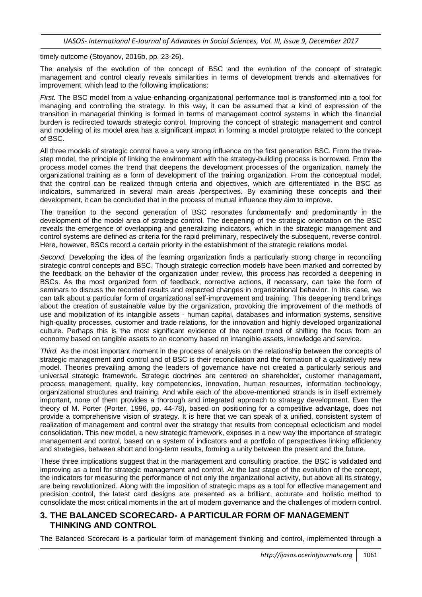timely outcome (Stoyanov, 2016b, pp. 23-26).

The analysis of the evolution of the concept of BSC and the evolution of the concept of strategic management and control clearly reveals similarities in terms of development trends and alternatives for improvement, which lead to the following implications:

*First.* The BSC model from a value-enhancing organizational performance tool is transformed into a tool for managing and controlling the strategy. In this way, it can be assumed that a kind of expression of the transition in managerial thinking is formed in terms of management control systems in which the financial burden is redirected towards strategic control. Improving the concept of strategic management and control and modeling of its model area has a significant impact in forming a model prototype related to the concept of BSC.

All three models of strategic control have a very strong influence on the first generation BSC. From the threestep model, the principle of linking the environment with the strategy-building process is borrowed. From the process model comes the trend that deepens the development processes of the organization, namely the organizational training as a form of development of the training organization. From the conceptual model, that the control can be realized through criteria and objectives, which are differentiated in the BSC as indicators, summarized in several main areas /perspectives. By examining these concepts and their development, it can be concluded that in the process of mutual influence they aim to improve.

The transition to the second generation of BSC resonates fundamentally and predominantly in the development of the model area of strategic control. The deepening of the strategic orientation on the BSC reveals the emergence of overlapping and generalizing indicators, which in the strategic management and control systems are defined as criteria for the rapid preliminary, respectively the subsequent, reverse control. Here, however, BSCs record a certain priority in the establishment of the strategic relations model.

*Second.* Developing the idea of the learning organization finds a particularly strong charge in reconciling strategic control concepts and BSC. Though strategic correction models have been marked and corrected by the feedback on the behavior of the organization under review, this process has recorded a deepening in BSCs. As the most organized form of feedback, corrective actions, if necessary, can take the form of seminars to discuss the recorded results and expected changes in organizational behavior. In this case, we can talk about a particular form of organizational self-improvement and training. This deepening trend brings about the creation of sustainable value by the organization, provoking the improvement of the methods of use and mobilization of its intangible assets - human capital, databases and information systems, sensitive high-quality processes, customer and trade relations, for the innovation and highly developed organizational culture. Perhaps this is the most significant evidence of the recent trend of shifting the focus from an economy based on tangible assets to an economy based on intangible assets, knowledge and service.

*Third.* As the most important moment in the process of analysis on the relationship between the concepts of strategic management and control and of BSC is their reconciliation and the formation of a qualitatively new model. Theories prevailing among the leaders of governance have not created a particularly serious and universal strategic framework. Strategic doctrines are centered on shareholder, customer management, process management, quality, key competencies, innovation, human resources, information technology, organizational structures and training. And while each of the above-mentioned strands is in itself extremely important, none of them provides a thorough and integrated approach to strategy development. Even the theory of M. Porter (Porter, 1996, pp. 44-78), based on positioning for a competitive advantage, does not provide a comprehensive vision of strategy. It is here that we can speak of a unified, consistent system of realization of management and control over the strategy that results from conceptual eclecticism and model consolidation. This new model, a new strategic framework, exposes in a new way the importance of strategic management and control, based on a system of indicators and a portfolio of perspectives linking efficiency and strategies, between short and long-term results, forming a unity between the present and the future.

These three implications suggest that in the management and consulting practice, the BSC is validated and improving as a tool for strategic management and control. At the last stage of the evolution of the concept, the indicators for measuring the performance of not only the organizational activity, but above all its strategy, are being revolutionized. Along with the imposition of strategic maps as a tool for effective management and precision control, the latest card designs are presented as a brilliant, accurate and holistic method to consolidate the most critical moments in the art of modern governance and the challenges of modern control.

#### **3. THE BALANCED SCORECARD- A PARTICULAR FORM OF MANAGEMENT THINKING AND CONTROL**

The Balanced Scorecard is a particular form of management thinking and control, implemented through a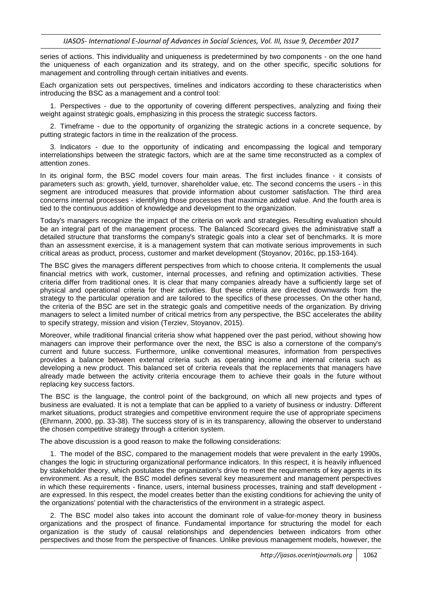series of actions. This individuality and uniqueness is predetermined by two components - on the one hand the uniqueness of each organization and its strategy, and on the other specific, specific solutions for management and controlling through certain initiatives and events.

Each organization sets out perspectives, timelines and indicators according to these characteristics when introducing the BSC as a management and a control tool:

1. Perspectives - due to the opportunity of covering different perspectives, analyzing and fixing their weight against strategic goals, emphasizing in this process the strategic success factors.

2. Timeframe - due to the opportunity of organizing the strategic actions in a concrete sequence, by putting strategic factors in time in the realization of the process.

3. Indicators - due to the opportunity of indicating and encompassing the logical and temporary interrelationships between the strategic factors, which are at the same time reconstructed as a complex of attention zones.

In its original form, the BSC model covers four main areas. The first includes finance - it consists of parameters such as: growth, yield, turnover, shareholder value, etc. The second concerns the users - in this segment are introduced measures that provide information about customer satisfaction. The third area concerns internal processes - identifying those processes that maximize added value. And the fourth area is tied to the continuous addition of knowledge and development to the organization.

Today's managers recognize the impact of the criteria on work and strategies. Resulting evaluation should be an integral part of the management process. The Balanced Scorecard gives the administrative staff a detailed structure that transforms the company's strategic goals into a clear set of benchmarks. It is more than an assessment exercise, it is a management system that can motivate serious improvements in such critical areas as product, process, customer and market development (Stoyanov, 2016c, pp.153-164).

The BSC gives the managers different perspectives from which to choose criteria. It complements the usual financial metrics with work, customer, internal processes, and refining and optimization activities. These criteria differ from traditional ones. It is clear that many companies already have a sufficiently large set of physical and operational criteria for their activities. But these criteria are directed downwards from the strategy to the particular operation and are tailored to the specifics of these processes. On the other hand, the criteria of the BSC are set in the strategic goals and competitive needs of the organization. By driving managers to select a limited number of critical metrics from any perspective, the BSC accelerates the ability to specify strategy, mission and vision (Terziev, Stoyanov, 2015).

Moreover, while traditional financial criteria show what happened over the past period, without showing how managers can improve their performance over the next, the BSC is also a cornerstone of the company's current and future success. Furthermore, unlike conventional measures, information from perspectives provides a balance between external criteria such as operating income and internal criteria such as developing a new product. This balanced set of criteria reveals that the replacements that managers have already made between the activity criteria encourage them to achieve their goals in the future without replacing key success factors.

The BSC is the language, the control point of the background, on which all new projects and types of business are evaluated. It is not a template that can be applied to a variety of business or industry. Different market situations, product strategies and competitive environment require the use of appropriate specimens (Ehrmann, 2000, pp. 33-38). The success story of is in its transparency, allowing the observer to understand the chosen competitive strategy through a criterion system.

The above discussion is a good reason to make the following considerations:

1. The model of the BSC, compared to the management models that were prevalent in the early 1990s, changes the logic in structuring organizational performance indicators. In this respect, it is heavily influenced by stakeholder theory, which postulates the organization's drive to meet the requirements of key agents in its environment. As a result, the BSC model defines several key measurement and management perspectives in which these requirements - finance, users, internal business processes, training and staff development are expressed. In this respect, the model creates better than the existing conditions for achieving the unity of the organizations' potential with the characteristics of the environment in a strategic aspect.

2. The BSC model also takes into account the dominant role of value-for-money theory in business organizations and the prospect of finance. Fundamental importance for structuring the model for each organization is the study of causal relationships and dependencies between indicators from other perspectives and those from the perspective of finances. Unlike previous management models, however, the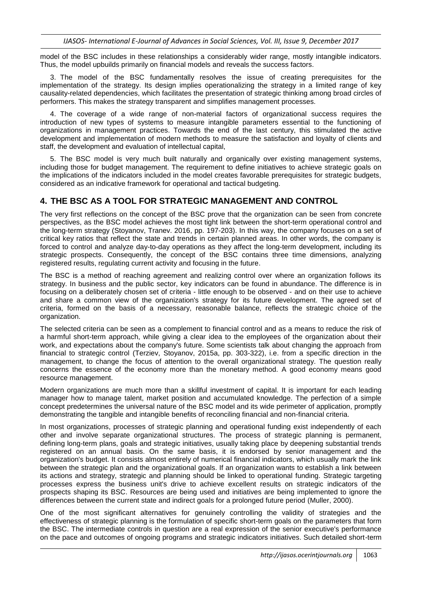model of the BSC includes in these relationships a considerably wider range, mostly intangible indicators. Thus, the model upbuilds primarily on financial models and reveals the success factors.

3. The model of the BSC fundamentally resolves the issue of creating prerequisites for the implementation of the strategy. Its design implies operationalizing the strategy in a limited range of key causality-related dependencies, which facilitates the presentation of strategic thinking among broad circles of performers. This makes the strategy transparent and simplifies management processes.

4. The coverage of a wide range of non-material factors of organizational success requires the introduction of new types of systems to measure intangible parameters essential to the functioning of organizations in management practices. Towards the end of the last century, this stimulated the active development and implementation of modern methods to measure the satisfaction and loyalty of clients and staff, the development and evaluation of intellectual capital,

5. The BSC model is very much built naturally and organically over existing management systems, including those for budget management. The requirement to define initiatives to achieve strategic goals on the implications of the indicators included in the model creates favorable prerequisites for strategic budgets, considered as an indicative framework for operational and tactical budgeting.

#### **4. THE BSC AS A TOOL FOR STRATEGIC MANAGEMENT AND CONTROL**

The very first reflections on the concept of the BSC prove that the organization can be seen from concrete perspectives, as the BSC model achieves the most tight link between the short-term operational control and the long-term strategy (Stoyanov, Tranev. 2016, pp. 197-203). In this way, the company focuses on a set of critical key ratios that reflect the state and trends in certain planned areas. In other words, the company is forced to control and analyze day-to-day operations as they affect the long-term development, including its strategic prospects. Consequently, the concept of the BSC contains three time dimensions, analyzing registered results, regulating current activity and focusing in the future.

The BSC is a method of reaching agreement and realizing control over where an organization follows its strategy. In business and the public sector, key indicators can be found in abundance. The difference is in focusing on a deliberately chosen set of criteria - little enough to be observed - and on their use to achieve and share a common view of the organization's strategy for its future development. The agreed set of criteria, formed on the basis of a necessary, reasonable balance, reflects the strategic choice of the organization.

The selected criteria can be seen as a complement to financial control and as a means to reduce the risk of a harmful short-term approach, while giving a clear idea to the employees of the organization about their work, and expectations about the company's future. Some scientists talk about changing the approach from financial to strategic control (Terziev, Stoyanov, 2015a, pp. 303-322), i.e. from a specific direction in the management, to change the focus of attention to the overall organizational strategy. The question really concerns the essence of the economy more than the monetary method. A good economy means good resource management.

Modern organizations are much more than a skillful investment of capital. It is important for each leading manager how to manage talent, market position and accumulated knowledge. The perfection of a simple concept predetermines the universal nature of the BSC model and its wide perimeter of application, promptly demonstrating the tangible and intangible benefits of reconciling financial and non-financial criteria.

In most organizations, processes of strategic planning and operational funding exist independently of each other and involve separate organizational structures. The process of strategic planning is permanent, defining long-term plans, goals and strategic initiatives, usually taking place by deepening substantial trends registered on an annual basis. On the same basis, it is endorsed by senior management and the organization's budget. It consists almost entirely of numerical financial indicators, which usually mark the link between the strategic plan and the organizational goals. If an organization wants to establish a link between its actions and strategy, strategic and planning should be linked to operational funding. Strategic targeting processes express the business unit's drive to achieve excellent results on strategic indicators of the prospects shaping its BSC. Resources are being used and initiatives are being implemented to ignore the differences between the current state and indirect goals for a prolonged future period (Muller, 2000).

One of the most significant alternatives for genuinely controlling the validity of strategies and the effectiveness of strategic planning is the formulation of specific short-term goals on the parameters that form the BSC. The intermediate controls in question are a real expression of the senior executive's performance on the pace and outcomes of ongoing programs and strategic indicators initiatives. Such detailed short-term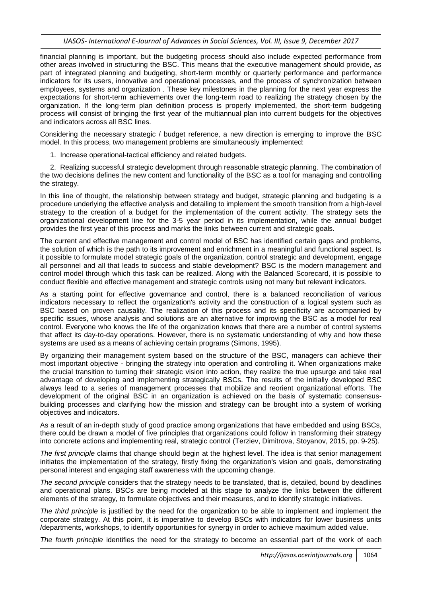financial planning is important, but the budgeting process should also include expected performance from other areas involved in structuring the BSC. This means that the executive management should provide, as part of integrated planning and budgeting, short-term monthly or quarterly performance and performance indicators for its users, innovative and operational processes, and the process of synchronization between employees, systems and organization . These key milestones in the planning for the next year express the expectations for short-term achievements over the long-term road to realizing the strategy chosen by the organization. If the long-term plan definition process is properly implemented, the short-term budgeting process will consist of bringing the first year of the multiannual plan into current budgets for the objectives and indicators across all BSC lines.

Considering the necessary strategic / budget reference, a new direction is emerging to improve the BSC model. In this process, two management problems are simultaneously implemented:

1. Increase operational-tactical efficiency and related budgets.

2. Realizing successful strategic development through reasonable strategic planning. The combination of the two decisions defines the new content and functionality of the BSC as a tool for managing and controlling the strategy.

In this line of thought, the relationship between strategy and budget, strategic planning and budgeting is a procedure underlying the effective analysis and detailing to implement the smooth transition from a high-level strategy to the creation of a budget for the implementation of the current activity. The strategy sets the organizational development line for the 3-5 year period in its implementation, while the annual budget provides the first year of this process and marks the links between current and strategic goals.

The current and effective management and control model of BSC has identified certain gaps and problems, the solution of which is the path to its improvement and enrichment in a meaningful and functional aspect. Is it possible to formulate model strategic goals of the organization, control strategic and development, engage all personnel and all that leads to success and stable development? BSC is the modern management and control model through which this task can be realized. Along with the Balanced Scorecard, it is possible to conduct flexible and effective management and strategic controls using not many but relevant indicators.

As a starting point for effective governance and control, there is a balanced reconciliation of various indicators necessary to reflect the organization's activity and the construction of a logical system such as BSC based on proven causality. The realization of this process and its specificity are accompanied by specific issues, whose analysis and solutions are an alternative for improving the BSC as a model for real control. Everyone who knows the life of the organization knows that there are a number of control systems that affect its day-to-day operations. However, there is no systematic understanding of why and how these systems are used as a means of achieving certain programs (Simons, 1995).

By organizing their management system based on the structure of the BSC, managers can achieve their most important objective - bringing the strategy into operation and controlling it. When organizations make the crucial transition to turning their strategic vision into action, they realize the true upsurge and take real advantage of developing and implementing strategically BSCs. The results of the initially developed BSC always lead to a series of management processes that mobilize and reorient organizational efforts. The development of the original BSC in an organization is achieved on the basis of systematic consensusbuilding processes and clarifying how the mission and strategy can be brought into a system of working objectives and indicators.

As a result of an in-depth study of good practice among organizations that have embedded and using BSCs, there could be drawn a model of five principles that organizations could follow in transforming their strategy into concrete actions and implementing real, strategic control (Terziev, Dimitrova, Stoyanov, 2015, pp. 9-25).

*The first principle* claims that change should begin at the highest level. The idea is that senior management initiates the implementation of the strategy, firstly fixing the organization's vision and goals, demonstrating personal interest and engaging staff awareness with the upcoming change.

*The second principle* considers that the strategy needs to be translated, that is, detailed, bound by deadlines and operational plans. BSCs are being modeled at this stage to analyze the links between the different elements of the strategy, to formulate objectives and their measures, and to identify strategic initiatives.

*The third principle* is justified by the need for the organization to be able to implement and implement the corporate strategy. At this point, it is imperative to develop BSCs with indicators for lower business units /departments, workshops, to identify opportunities for synergy in order to achieve maximum added value.

*The fourth principle* identifies the need for the strategy to become an essential part of the work of each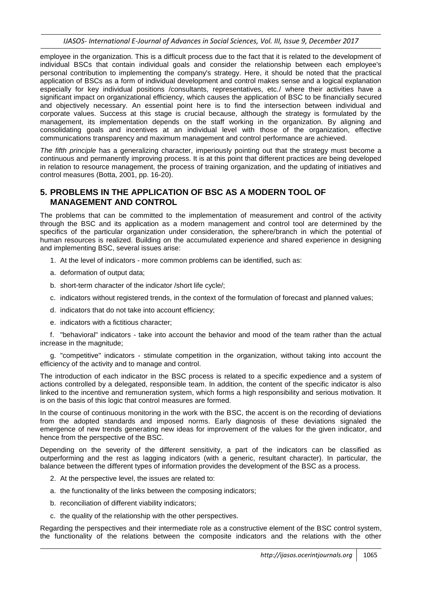employee in the organization. This is a difficult process due to the fact that it is related to the development of individual BSCs that contain individual goals and consider the relationship between each employee's personal contribution to implementing the company's strategy. Here, it should be noted that the practical application of BSCs as a form of individual development and control makes sense and a logical explanation especially for key individual positions /consultants, representatives, etc./ where their activities have a significant impact on organizational efficiency, which causes the application of BSC to be financially secured and objectively necessary. An essential point here is to find the intersection between individual and corporate values. Success at this stage is crucial because, although the strategy is formulated by the management, its implementation depends on the staff working in the organization. By aligning and consolidating goals and incentives at an individual level with those of the organization, effective communications transparency and maximum management and control performance are achieved.

*The fifth principle* has a generalizing character, imperiously pointing out that the strategy must become a continuous and permanently improving process. It is at this point that different practices are being developed in relation to resource management, the process of training organization, and the updating of initiatives and control measures (Botta, 2001, pp. 16-20).

#### **5. PROBLEMS IN THE APPLICATION OF BSC AS A MODERN TOOL OF MANAGEMENT AND CONTROL**

The problems that can be committed to the implementation of measurement and control of the activity through the BSC and its application as a modern management and control tool are determined by the specifics of the particular organization under consideration, the sphere/branch in which the potential of human resources is realized. Building on the accumulated experience and shared experience in designing and implementing BSC, several issues arise:

- 1. At the level of indicators more common problems can be identified, such as:
- a. deformation of output data;
- b. short-term character of the indicator /short life cycle/;
- c. indicators without registered trends, in the context of the formulation of forecast and planned values;
- d. indicators that do not take into account efficiency;
- e. indicators with a fictitious character;

f. "behavioral" indicators - take into account the behavior and mood of the team rather than the actual increase in the magnitude;

g. "competitive" indicators - stimulate competition in the organization, without taking into account the efficiency of the activity and to manage and control.

The introduction of each indicator in the BSC process is related to a specific expedience and a system of actions controlled by a delegated, responsible team. In addition, the content of the specific indicator is also linked to the incentive and remuneration system, which forms a high responsibility and serious motivation. It is on the basis of this logic that control measures are formed.

In the course of continuous monitoring in the work with the BSC, the accent is on the recording of deviations from the adopted standards and imposed norms. Early diagnosis of these deviations signaled the emergence of new trends generating new ideas for improvement of the values for the given indicator, and hence from the perspective of the BSC.

Depending on the severity of the different sensitivity, a part of the indicators can be classified as outperforming and the rest as lagging indicators (with a generic, resultant character). In particular, the balance between the different types of information provides the development of the BSC as a process.

- 2. At the perspective level, the issues are related to:
- a. the functionality of the links between the composing indicators;
- b. reconciliation of different viability indicators;
- c. the quality of the relationship with the other perspectives.

Regarding the perspectives and their intermediate role as a constructive element of the BSC control system, the functionality of the relations between the composite indicators and the relations with the other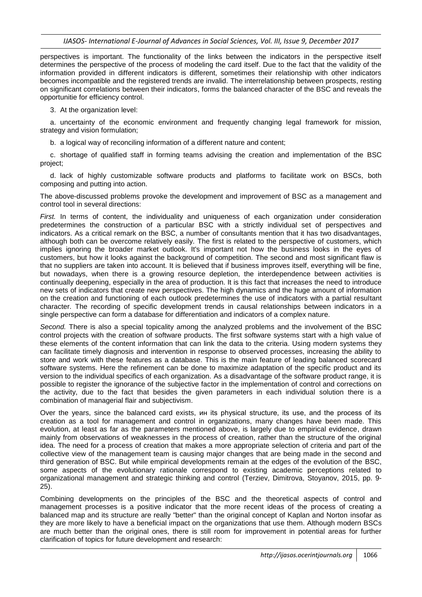perspectives is important. The functionality of the links between the indicators in the perspective itself determines the perspective of the process of modeling the card itself. Due to the fact that the validity of the information provided in different indicators is different, sometimes their relationship with other indicators becomes incompatible and the registered trends are invalid. The interrelationship between prospects, resting on significant correlations between their indicators, forms the balanced character of the BSC and reveals the opportunitie for efficiency control.

3. At the organization level:

a. uncertainty of the economic environment and frequently changing legal framework for mission, strategy and vision formulation;

b. a logical way of reconciling information of a different nature and content;

c. shortage of qualified staff in forming teams advising the creation and implementation of the BSC project;

d. lack of highly customizable software products and platforms to facilitate work on BSCs, both composing and putting into action.

The above-discussed problems provoke the development and improvement of BSC as a management and control tool in several directions:

*First.* In terms of content, the individuality and uniqueness of each organization under consideration predetermines the construction of a particular BSC with a strictly individual set of perspectives and indicators. As a critical remark on the BSC, a number of consultants mention that it has two disadvantages, although both can be overcome relatively easily. The first is related to the perspective of customers, which implies ignoring the broader market outlook. It's important not how the business looks in the eyes of customers, but how it looks against the background of competition. The second and most significant flaw is that no suppliers are taken into account. It is believed that if business improves itself, everything will be fine, but nowadays, when there is a growing resource depletion, the interdependence between activities is continually deepening, especially in the area of production. It is this fact that increases the need to introduce new sets of indicators that create new perspectives. The high dynamics and the huge amount of information on the creation and functioning of each outlook predetermines the use of indicators with a partial resultant character. The recording of specific development trends in causal relationships between indicators in a single perspective can form a database for differentiation and indicators of a complex nature.

*Second.* There is also a special topicality among the analyzed problems and the involvement of the BSC control projects with the creation of software products. The first software systems start with a high value of these elements of the content information that can link the data to the criteria. Using modern systems they can facilitate timely diagnosis and intervention in response to observed processes, increasing the ability to store and work with these features as a database. This is the main feature of leading balanced scorecard software systems. Here the refinement can be done to maximize adaptation of the specific product and its version to the individual specifics of each organization. As a disadvantage of the software product range, it is possible to register the ignorance of the subjective factor in the implementation of control and corrections on the activity, due to the fact that besides the given parameters in each individual solution there is a combination of managerial flair and subjectivism.

Over the years, since the balanced card exists, ин its physical structure, its use, and the process of its creation as a tool for management and control in organizations, many changes have been made. This evolution, at least as far as the parameters mentioned above, is largely due to empirical evidence, drawn mainly from observations of weaknesses in the process of creation, rather than the structure of the original idea. The need for a process of creation that makes a more appropriate selection of criteria and part of the collective view of the management team is causing major changes that are being made in the second and third generation of BSC. But while empirical developments remain at the edges of the evolution of the BSC, some aspects of the evolutionary rationale correspond to existing academic perceptions related to organizational management and strategic thinking and control (Terziev, Dimitrova, Stoyanov, 2015, pp. 9- 25).

Combining developments on the principles of the BSC and the theoretical aspects of control and management processes is a positive indicator that the more recent ideas of the process of creating a balanced map and its structure are really "better" than the original concept of Kaplan and Norton insofar as they are more likely to have a beneficial impact on the organizations that use them. Although modern BSCs are much better than the original ones, there is still room for improvement in potential areas for further clarification of topics for future development and research: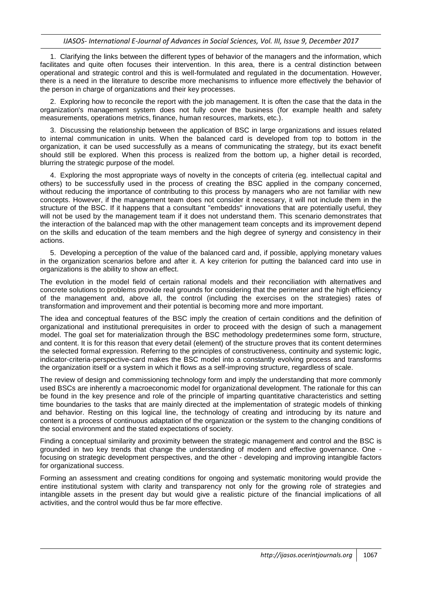1. Clarifying the links between the different types of behavior of the managers and the information, which facilitates and quite often focuses their intervention. In this area, there is a central distinction between operational and strategic control and this is well-formulated and regulated in the documentation. However, there is a need in the literature to describe more mechanisms to influence more effectively the behavior of the person in charge of organizations and their key processes.

2. Exploring how to reconcile the report with the job management. It is often the case that the data in the organization's management system does not fully cover the business (for example health and safety measurements, operations metrics, finance, human resources, markets, etc.).

3. Discussing the relationship between the application of BSC in large organizations and issues related to internal communication in units. When the balanced card is developed from top to bottom in the organization, it can be used successfully as a means of communicating the strategy, but its exact benefit should still be explored. When this process is realized from the bottom up, a higher detail is recorded, blurring the strategic purpose of the model.

4. Exploring the most appropriate ways of novelty in the concepts of criteria (eg. intellectual capital and others) to be successfully used in the process of creating the BSC applied in the company concerned, without reducing the importance of contributing to this process by managers who are not familiar with new concepts. However, if the management team does not consider it necessary, it will not include them in the structure of the BSC. If it happens that a consultant "embedds" innovations that are potentially useful, they will not be used by the management team if it does not understand them. This scenario demonstrates that the interaction of the balanced map with the other management team concepts and its improvement depend on the skills and education of the team members and the high degree of synergy and consistency in their actions.

5. Developing a perception of the value of the balanced card and, if possible, applying monetary values in the organization scenarios before and after it. A key criterion for putting the balanced card into use in organizations is the ability to show an effect.

The evolution in the model field of certain rational models and their reconciliation with alternatives and concrete solutions to problems provide real grounds for considering that the perimeter and the high efficiency of the management and, above all, the control (including the exercises on the strategies) rates of transformation and improvement and their potential is becoming more and more important.

The idea and conceptual features of the BSC imply the creation of certain conditions and the definition of organizational and institutional prerequisites in order to proceed with the design of such a management model. The goal set for materialization through the BSC methodology predetermines some form, structure, and content. It is for this reason that every detail (element) of the structure proves that its content determines the selected formal expression. Referring to the principles of constructiveness, continuity and systemic logic, indicator-criteria-perspective-card makes the BSC model into a constantly evolving process and transforms the organization itself or a system in which it flows as a self-improving structure, regardless of scale.

The review of design and commissioning technology form and imply the understanding that more commonly used BSCs are inherently a macroeconomic model for organizational development. The rationale for this can be found in the key presence and role of the principle of imparting quantitative characteristics and setting time boundaries to the tasks that are mainly directed at the implementation of strategic models of thinking and behavior. Resting on this logical line, the technology of creating and introducing by its nature and content is a process of continuous adaptation of the organization or the system to the changing conditions of the social environment and the stated expectations of society.

Finding a conceptual similarity and proximity between the strategic management and control and the BSC is grounded in two key trends that change the understanding of modern and effective governance. One focusing on strategic development perspectives, and the other - developing and improving intangible factors for organizational success.

Forming an assessment and creating conditions for ongoing and systematic monitoring would provide the entire institutional system with clarity and transparency not only for the growing role of strategies and intangible assets in the present day but would give a realistic picture of the financial implications of all activities, and the control would thus be far more effective.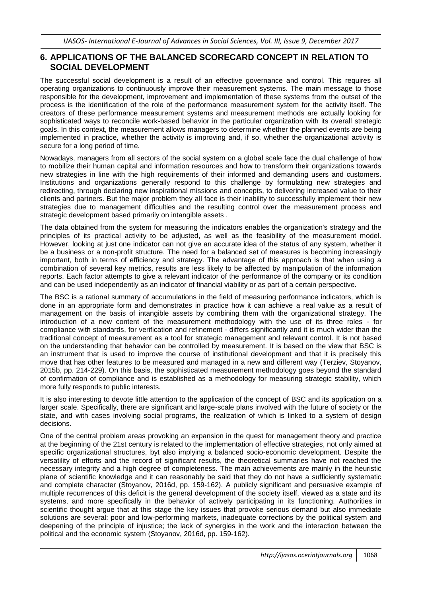#### **6. APPLICATIONS OF THE BALANCED SCORECARD CONCEPT IN RELATION TO SOCIAL DEVELOPMENT**

The successful social development is a result of an effective governance and control. This requires all operating organizations to continuously improve their measurement systems. The main message to those responsible for the development, improvement and implementation of these systems from the outset of the process is the identification of the role of the performance measurement system for the activity itself. The creators of these performance measurement systems and measurement methods are actually looking for sophisticated ways to reconcile work-based behavior in the particular organization with its overall strategic goals. In this context, the measurement allows managers to determine whether the planned events are being implemented in practice, whether the activity is improving and, if so, whether the organizational activity is secure for a long period of time.

Nowadays, managers from all sectors of the social system on a global scale face the dual challenge of how to mobilize their human capital and information resources and how to transform their organizations towards new strategies in line with the high requirements of their informed and demanding users and customers. Institutions and organizations generally respond to this challenge by formulating new strategies and redirecting, through declaring new inspirational missions and concepts, to delivering increased value to their clients and partners. But the major problem they all face is their inability to successfully implement their new strategies due to management difficulties and the resulting control over the measurement process and strategic development based primarily on intangible assets.

The data obtained from the system for measuring the indicators enables the organization's strategy and the principles of its practical activity to be adjusted, as well as the feasibility of the measurement model. However, looking at just one indicator can not give an accurate idea of the status of any system, whether it be a business or a non-profit structure. The need for a balanced set of measures is becoming increasingly important, both in terms of efficiency and strategy. The advantage of this approach is that when using a combination of several key metrics, results are less likely to be affected by manipulation of the information reports. Each factor attempts to give a relevant indicator of the performance of the company or its condition and can be used independently as an indicator of financial viability or as part of a certain perspective.

The BSC is a rational summary of accumulations in the field of measuring performance indicators, which is done in an appropriate form and demonstrates in practice how it can achieve a real value as a result of management on the basis of intangible assets by combining them with the organizational strategy. The introduction of a new content of the measurement methodology with the use of its three roles - for compliance with standards, for verification and refinement - differs significantly and it is much wider than the traditional concept of measurement as a tool for strategic management and relevant control. It is not based on the understanding that behavior can be controlled by measurement. It is based on the view that BSC is an instrument that is used to improve the course of institutional development and that it is precisely this move that has other features to be measured and managed in a new and different way (Terziev, Stoyanov, 2015b, pp. 214-229). On this basis, the sophisticated measurement methodology goes beyond the standard of confirmation of compliance and is established as a methodology for measuring strategic stability, which more fully responds to public interests.

It is also interesting to devote little attention to the application of the concept of BSC and its application on a larger scale. Specifically, there are significant and large-scale plans involved with the future of society or the state, and with cases involving social programs, the realization of which is linked to a system of design decisions.

One of the central problem areas provoking an expansion in the quest for management theory and practice at the beginning of the 21st century is related to the implementation of effective strategies, not only aimed at specific organizational structures, byt also implying a balanced socio-economic development. Despite the versatility of efforts and the record of significant results, the theoretical summaries have not reached the necessary integrity and a high degree of completeness. The main achievements are mainly in the heuristic plane of scientific knowledge and it can reasonably be said that they do not have a sufficiently systematic and complete character (Stoyanov, 2016d, pp. 159-162). A publicly significant and persuasive example of multiple recurrences of this deficit is the general development of the society itself, viewed as a state and its systems, and more specifically in the behavior of actively participating in its functioning. Authorities in scientific thought argue that at this stage the key issues that provoke serious demand but also immediate solutions are several: poor and low-performing markets, inadequate corrections by the political system and deepening of the principle of injustice; the lack of synergies in the work and the interaction between the political and the economic system (Stoyanov, 2016d, pp. 159-162).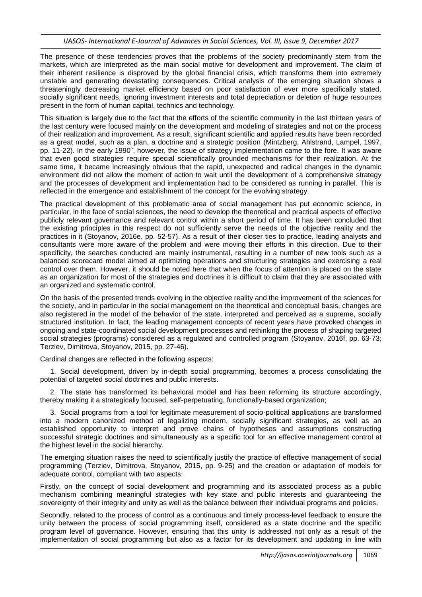The presence of these tendencies proves that the problems of the society predominantly stem from the markets, which are interpreted as the main social motive for development and improvement. The claim of their inherent resilience is disproved by the global financial crisis, which transforms them into extremely unstable and generating devastating consequences. Critical analysis of the emerging situation shows a threateningly decreasing market efficiency based on poor satisfaction of ever more specifically stated, socially significant needs, ignoring investment interests and total depreciation or deletion of huge resources present in the form of human capital, technics and technology.

This situation is largely due to the fact that the efforts of the scientific community in the last thirteen years of the last century were focused mainly on the development and modeling of strategies and not on the process of their realization and improvement. As a result, significant scientific and applied results have been recorded as a great model, such as a plan, a doctrine and a strategic position (Mintzberg, Ahlstrand, Lampel, 1997, pp. 11-22). In the early 1990<sup>s</sup>, however, the issue of strategy implementation came to the fore. It was aware that even good strategies require special scientifically grounded mechanisms for their realization. At the same time, it became increasingly obvious that the rapid, unexpected and radical changes in the dynamic environment did not allow the moment of action to wait until the development of a comprehensive strategy and the processes of development and implementation had to be considered as running in parallel. This is reflected in the emergence and establishment of the concept for the evolving strategy.

The practical development of this problematic area of social management has put economic science, in particular, in the face of social sciences, the need to develop the theoretical and practical aspects of effective publicly relevant governance and relevant control within a short period of time. It has been concluded that the existing principles in this respect do not sufficiently serve the needs of the objective reality and the practices in it (Stoyanov, 2016e, pp. 52-57). As a result of their closer ties to practice, leading analysts and consultants were more aware of the problem and were moving their efforts in this direction. Due to their specificity, the searches conducted are mainly instrumental, resulting in a number of new tools such as a balanced scorecard model aimed at optimizing operations and structuring strategies and exercising a real control over them. However, it should be noted here that when the focus of attention is placed on the state as an organization for most of the strategies and doctrines it is difficult to claim that they are associated with an organized and systematic control.

On the basis of the presented trends evolving in the objective reality and the improvement of the sciences for the society, and in particular in the social management on the theoretical and conceptual basis, changes are also registered in the model of the behavior of the state, interpreted and perceived as a supreme, socially structured institution. In fact, the leading management concepts of recent years have provoked changes in ongoing and state-coordinated social development processes and rethinking the process of shaping targeted social strategies (programs) considered as a regulated and controlled program (Stoyanov, 2016f, pp. 63-73; Terziev, Dimitrova, Stoyanov, 2015, pp. 27-46).

Cardinal changes are reflected in the following aspects:

1. Social development, driven by in-depth social programming, becomes a process consolidating the potential of targeted social doctrines and public interests.

2. The state has transformed its behavioral model and has been reforming its structure accordingly, thereby making it a strategically focused, self-perpetuating, functionally-based organization;

3. Social programs from a tool for legitimate measurement of socio-political applications are transformed into a modern canonized method of legalizing modern, socially significant strategies, as well as an established opportunity to interpret and prove chains of hypotheses and assumptions constructing successful strategic doctrines and simultaneously as a specific tool for an effective management control at the highest level in the social hierarchy.

The emerging situation raises the need to scientifically justify the practice of effective management of social programming (Terziev, Dimitrova, Stoyanov, 2015, pp. 9-25) and the creation or adaptation of models for adequate control, compliant with two aspects:

Firstly, on the concept of social development and programming and its associated process as a public mechanism combining meaningful strategies with key state and public interests and guaranteeing the sovereignty of their integrity and unity as well as the balance between their individual programs and policies.

Secondly, related to the process of control as a continuous and timely process-level feedback to ensure the unity between the process of social programming itself, considered as a state doctrine and the specific program level of governance. However, ensuring that this unity is addressed not only as a result of the implementation of social programming but also as a factor for its development and updating in line with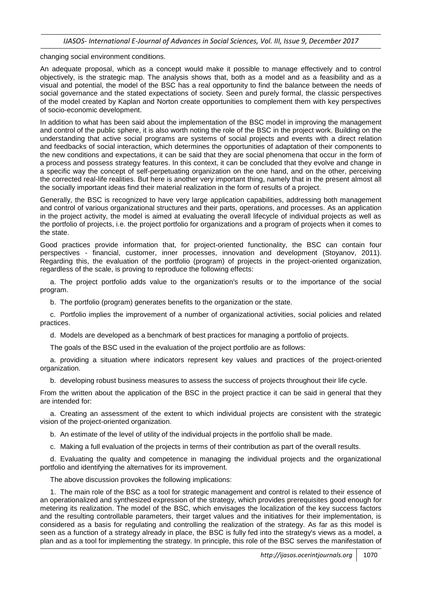changing social environment conditions.

An adequate proposal, which as a concept would make it possible to manage effectively and to control objectively, is the strategic map. The analysis shows that, both as a model and as a feasibility and as a visual and potential, the model of the BSC has a real opportunity to find the balance between the needs of social governance and the stated expectations of society. Seen and purely formal, the classic perspectives of the model created by Kaplan and Norton create opportunities to complement them with key perspectives of socio-economic development.

In addition to what has been said about the implementation of the BSC model in improving the management and control of the public sphere, it is also worth noting the role of the BSC in the project work. Building on the understanding that active social programs are systems of social projects and events with a direct relation and feedbacks of social interaction, which determines the opportunities of adaptation of their components to the new conditions and expectations, it can be said that they are social phenomena that occur in the form of a process and possess strategy features. In this context, it can be concluded that they evolve and change in a specific way the concept of self-perpetuating organization on the one hand, and on the other, perceiving the corrected real-life realities. But here is another very important thing, namely that in the present almost all the socially important ideas find their material realization in the form of results of a project.

Generally, the BSC is recognized to have very large application capabilities, addressing both management and control of various organizational structures and their parts, operations, and processes. As an application in the project activity, the model is aimed at evaluating the overall lifecycle of individual projects as well as the portfolio of projects, i.e. the project portfolio for organizations and a program of projects when it comes to the state.

Good practices provide information that, for project-oriented functionality, the BSC can contain four perspectives - financial, customer, inner processes, innovation and development (Stoyanov, 2011). Regarding this, the evaluation of the portfolio (program) of projects in the project-oriented organization, regardless of the scale, is proving to reproduce the following effects:

a. The project portfolio adds value to the organization's results or to the importance of the social program.

b. The portfolio (program) generates benefits to the organization or the state.

c. Portfolio implies the improvement of a number of organizational activities, social policies and related practices.

d. Models are developed as a benchmark of best practices for managing a portfolio of projects.

The goals of the BSC used in the evaluation of the project portfolio are as follows:

a. providing a situation where indicators represent key values and practices of the project-oriented organization.

b. developing robust business measures to assess the success of projects throughout their life cycle.

From the written about the application of the BSC in the project practice it can be said in general that they are intended for:

a. Creating an assessment of the extent to which individual projects are consistent with the strategic vision of the project-oriented organization.

b. An estimate of the level of utility of the individual projects in the portfolio shall be made.

c. Making a full evaluation of the projects in terms of their contribution as part of the overall results.

d. Evaluating the quality and competence in managing the individual projects and the organizational portfolio and identifying the alternatives for its improvement.

The above discussion provokes the following implications:

1. The main role of the BSC as a tool for strategic management and control is related to their essence of an operationalized and synthesized expression of the strategy, which provides prerequisites good enough for metering its realization. The model of the BSC, which envisages the localization of the key success factors and the resulting controllable parameters, their target values and the initiatives for their implementation, is considered as a basis for regulating and controlling the realization of the strategy. As far as this model is seen as a function of a strategy already in place, the BSC is fully fed into the strategy's views as a model, a plan and as a tool for implementing the strategy. In principle, this role of the BSC serves the manifestation of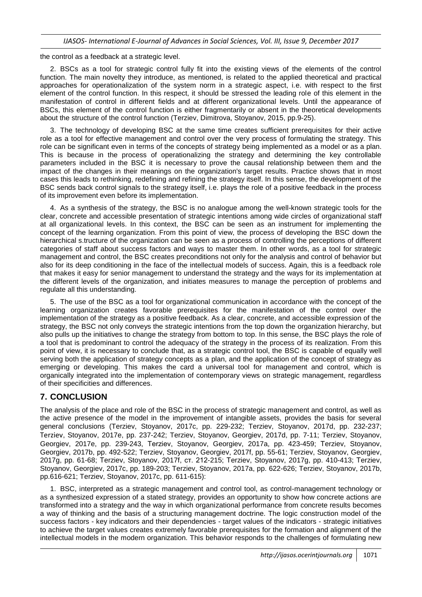the control as a feedback at a strategic level.

2. BSCs as a tool for strategic control fully fit into the existing views of the elements of the control function. The main novelty they introduce, as mentioned, is related to the applied theoretical and practical approaches for operationalization of the system norm in a strategic aspect, i.e. with respect to the first element of the control function. In this respect, it should be stressed the leading role of this element in the manifestation of control in different fields and at different organizational levels. Until the appearance of BSCs, this element of the control function is either fragmentarily or absent in the theoretical developments about the structure of the control function (Terziev, Dimitrova, Stoyanov, 2015, pp.9-25).

3. The technology of developing BSC at the same time creates sufficient prerequisites for their active role as a tool for effective management and control over the very process of formulating the strategy. This role can be significant even in terms of the concepts of strategy being implemented as a model or as a plan. This is because in the process of operationalizing the strategy and determining the key controllable parameters included in the BSC it is necessary to prove the causal relationship between them and the impact of the changes in their meanings on the organization's target results. Practice shows that in most cases this leads to rethinking, redefining and refining the strategy itself. In this sense, the development of the BSC sends back control signals to the strategy itself, i.e. plays the role of a positive feedback in the process of its improvement even before its implementation.

4. As a synthesis of the strategy, the BSC is no analogue among the well-known strategic tools for the clear, concrete and accessible presentation of strategic intentions among wide circles of organizational staff at all organizational levels. In this context, the BSC can be seen as an instrument for implementing the concept of the learning organization. From this point of view, the process of developing the BSC down the hierarchical s.tructure of the organization can be seen as a process of controlling the perceptions of different categories of staff about success factors and ways to master them. In other words, as a tool for strategic management and control, the BSC creates preconditions not only for the analysis and control of behavior but also for its deep conditioning in the face of the intellectual models of success. Again, this is a feedback role that makes it easy for senior management to understand the strategy and the ways for its implementation at the different levels of the organization, and initiates measures to manage the perception of problems and regulate all this understanding.

5. The use of the BSC as a tool for organizational communication in accordance with the concept of the learning organization creates favorable prerequisites for the manifestation of the control over the implementation of the strategy as a positive feedback. As a clear, concrete, and accessible expression of the strategy, the BSC not only conveys the strategic intentions from the top down the organization hierarchy, but also pulls up the initiatives to change the strategy from bottom to top. In this sense, the BSC plays the role of a tool that is predominant to control the adequacy of the strategy in the process of its realization. From this point of view, it is necessary to conclude that, as a strategic control tool, the BSC is capable of equally well serving both the application of strategy concepts as a plan, and the application of the concept of strategy as emerging or developing. This makes the card a universal tool for management and control, which is organically integrated into the implementation of contemporary views on strategic management, regardless of their specificities and differences.

## **7. CONCLUSION**

The analysis of the place and role of the BSC in the process of strategic management and control, as well as the active presence of the model in the improvement of intangible assets, provides the basis for several general conclusions (Terziev, Stoyanov, 2017c, pp. 229-232; Terziev, Stoyanov, 2017d, pp. 232-237; Terziev, Stoyanov, 2017e, pp. 237-242; Terziev, Stoyanov, Georgiev, 2017d, pp. 7-11; Terziev, Stoyanov, Georgiev, 2017e, pp. 239-243, Тerziev, Stoyanov, Georgiev, 2017a, рp. 423-459; Тerziev, Stoyanov, Georgiev, 2017b, рp. 492-522; Terziev, Stoyanov, Georgiev, 2017f, pp. 55-61; Terziev, Stoyanov, Georgiev, 2017g, pp. 61-68; Тerziev, Stoyanov, 2017f, ст. 212-215; Тerziev, Stoyanov, 2017g, pp. 410-413; Тerziev, Stoyanov, Georgiev, 2017c, pp. 189-203; Terziev, Stoyanov, 2017a, pp. 622-626; Terziev, Stoyanov, 2017b, pp.616-621; Terziev, Stoyanov, 2017c, pp. 611-615):

1. BSC, interpreted as a strategic management and control tool, as control-management technology or as a synthesized expression of a stated strategy, provides an opportunity to show how concrete actions are transformed into a strategy and the way in which organizational performance from concrete results becomes a way of thinking and the basis of a structuring management doctrine. The logic construction model of the success factors - key indicators and their dependencies - target values of the indicators - strategic initiatives to achieve the target values creates extremely favorable prerequisites for the formation and alignment of the intellectual models in the modern organization. This behavior responds to the challenges of formulating new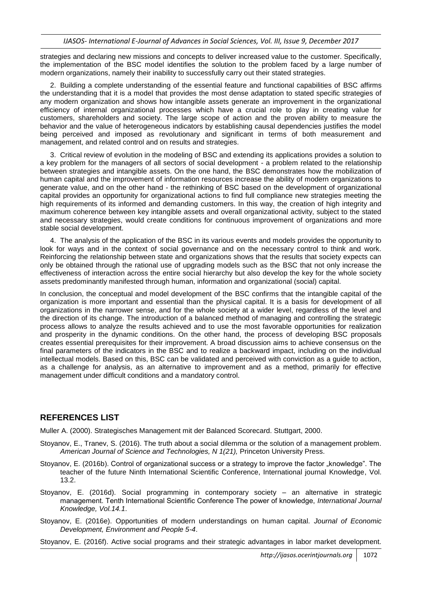strategies and declaring new missions and concepts to deliver increased value to the customer. Specifically, the implementation of the BSC model identifies the solution to the problem faced by a large number of modern organizations, namely their inability to successfully carry out their stated strategies.

2. Building a complete understanding of the essential feature and functional capabilities of BSC affirms the understanding that it is a model that provides the most dense adaptation to stated specific strategies of any modern organization and shows how intangible assets generate an improvement in the organizational efficiency of internal organizational processes which have a crucial role to play in creating value for customers, shareholders and society. The large scope of action and the proven ability to measure the behavior and the value of heterogeneous indicators by establishing causal dependencies justifies the model being perceived and imposed as revolutionary and significant in terms of both measurement and management, and related control and on results and strategies.

3. Critical review of evolution in the modeling of BSC and extending its applications provides a solution to a key problem for the managers of all sectors of social development - a problem related to the relationship between strategies and intangible assets. On the one hand, the BSC demonstrates how the mobilization of human capital and the improvement of information resources increase the ability of modern organizations to generate value, and on the other hand - the rethinking of BSC based on the development of organizational capital provides an opportunity for organizational actions to find full compliance new strategies meeting the high requirements of its informed and demanding customers. In this way, the creation of high integrity and maximum coherence between key intangible assets and overall organizational activity, subject to the stated and necessary strategies, would create conditions for continuous improvement of organizations and more stable social development.

4. The analysis of the application of the BSC in its various events and models provides the opportunity to look for ways and in the context of social governance and on the necessary control to think and work. Reinforcing the relationship between state and organizations shows that the results that society expects can only be obtained through the rational use of upgrading models such as the BSC that not only increase the effectiveness of interaction across the entire social hierarchy but also develop the key for the whole society assets predominantly manifested through human, information and organizational (social) capital.

In conclusion, the conceptual and model development of the BSC confirms that the intangible capital of the organization is more important and essential than the physical capital. It is a basis for development of all organizations in the narrower sense, and for the whole society at a wider level, regardless of the level and the direction of its change. The introduction of a balanced method of managing and controlling the strategic process allows to analyze the results achieved and to use the most favorable opportunities for realization and prosperity in the dynamic conditions. On the other hand, the process of developing BSC proposals creates essential prerequisites for their improvement. A broad discussion aims to achieve consensus on the final parameters of the indicators in the BSC and to realize a backward impact, including on the individual intellectual models. Based on this, BSC can be validated and perceived with conviction as a guide to action, as a challenge for analysis, as an alternative to improvement and as a method, primarily for effective management under difficult conditions and a mandatory control.

#### **REFERENCES LIST**

Muller A. (2000). Strategisches Management mit der Balanced Scorecard. Stuttgart, 2000.

- Stoyanov, E., Tranev, S. (2016). The truth about a social dilemma or the solution of a management problem. *American Journal of Science and Technologies, N 1(21),* Princeton University Press.
- Stoyanov, E. (2016b). Control of organizational success or a strategy to improve the factor "knowledge". The teacher of the future Ninth International Scientific Conference, International journal Knowledge, Vol. 13.2.
- Stoyanov, E. (2016d). Social programming in contemporary society an alternative in strategic management. Tenth International Scientific Conference Тhe power of knowledge, *International Journal Knowledge, Vol.14.1*.

Stoyanov, E. (2016e). Opportunities of modern understandings on human capital. *Journal of Economic Development, Environment and People 5-4*.

Stoyanov, E. (2016f). Active social programs and their strategic advantages in labor market development.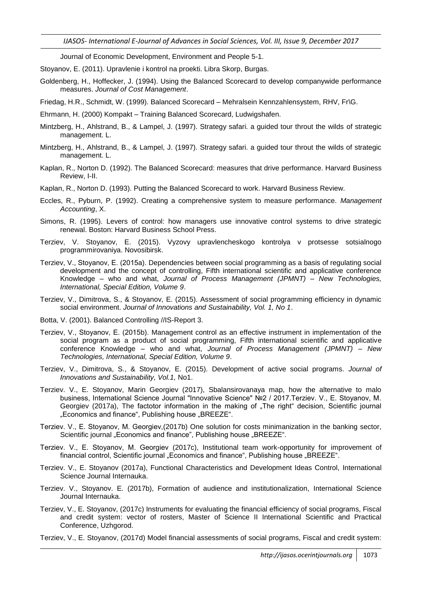*IJASOS- International E-Journal of Advances in Social Sciences, Vol. III, Issue 9, December 2017*

Journal of Economic Development, Environment and People 5-1.

Stoyanov, E. (2011). Upravlenie i kontrol na proekti. Libra Skorp, Burgas.

Goldenberg, H., Hoffecker, J. (1994). Using the Balanced Scorecard to develop companywide performance measures. *Journal of Cost Management*.

Friedag, H.R., Schmidt, W. (1999). Balanced Scorecard – Mehralsein Kennzahlensystem, RHV, Fr\G.

- Ehrmann, H. (2000) Kompakt Training Balanced Scorecard, Ludwigshafen.
- Mintzberg, H., Ahlstrand, B., & Lampel, J. (1997). Strategy safari. a guided tour throut the wilds of strategic management. L.
- Mintzberg, H., Ahlstrand, B., & Lampel, J. (1997). Strategy safari. a guided tour throut the wilds of strategic management. L.
- Kaplan, R., Norton D. (1992). The Balanced Scorecard: measures that drive performance. Harvard Business Review, I-II.
- Kaplan, R., Norton D. (1993). Putting the Balanced Scorecard to work. Harvard Business Review.
- Eccles, R., Pyburn, P. (1992). Creating a comprehensive system to measure performance. *Management Accounting*, X.
- Simons, R. (1995). Levers of control: how managers use innovative control systems to drive strategic renewal. Boston: Harvard Business School Press.
- Terziev, V. Stoyanov, E. (2015). Vyzovy upravlencheskogo kontrolya v protsesse sotsialnogo programmirovaniya. Novosibirsk.
- Terziev, V., Stoyanov, Е. (2015a). Dependencies between social programming as a basis of regulating social development and the concept of controlling, Fifth international scientific and applicative conference Knowledge – who and what, *Journal of Process Management (JPMNT) – New Technologies, International, Special Edition, Volume 9*.
- Terziev, V., Dimitrova, S., & Stoyanov, E. (2015). Assessment of social programming efficiency in dynamic social environment. *Journal of Innovations and Sustainability, Vol. 1, No 1*.
- Botta, V. (2001). Balanced Controlling //IS-Report 3.
- Terziev, V., Stoyanov, Е. (2015b). Management control as an effective instrument in implementation of the social program as a product of social programming, Fifth international scientific and applicative conference Knowledge – who and what, *Journal of Process Management (JPMNT) – New Technologies, International, Special Edition, Volume 9*.
- Terziev, V., Dimitrova, S., & Stoyanov, E. (2015). Development of active social programs. *Journal of Innovations and Sustainability, Vol.1,* No1.
- Terziev. V., E. Stoyanov, Marin Georgiev (2017), Sbalansirovanaya map, how the alternative to malo business, International Science Journal "Innovative Science" №2 / 2017.Terziev. V., Е. Stoyanov, M. Georgiev (2017a), The factotor information in the making of "The right" decision, Scientific journal "Economics and finance", Publishing house "BREEZE".
- Terziev. V., Е. Stoyanov, M. Georgiev,(2017b) One solution for costs minimanization in the banking sector, Scientific journal "Economics and finance", Publishing house "BREEZE".
- Terziev. V., Е. Stoyanov, M. Georgiev (2017c), Institutional team work-opportunity for improvement of financial control, Scientific journal .Economics and finance", Publishing house .BREEZE".
- Terziev. V., E. Stoyanov (2017a), Functional Characteristics and Development Ideas Control, International Science Journal Internauka.
- Terziev. V., Stoyanov. E. (2017b), Formation of audience and institutionalization, International Science Journal Internauka.
- Terziev, V., E. Stoyanov, (2017c) Instruments for evaluating the financial efficiency of social programs, Fiscal and credit system: vector of rosters, Master of Science II International Scientific and Practical Conference, Uzhgorod.
- Terziev, V., E. Stoyanov, (2017d) Model financial assessments of social programs, Fiscal and credit system: